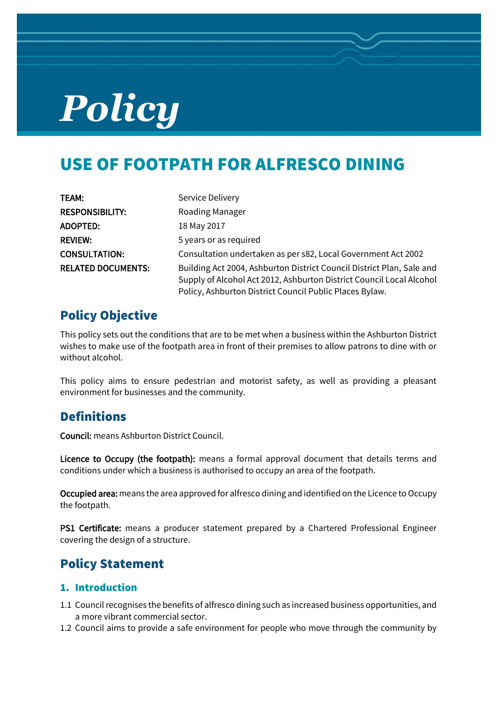# *Policy*

# USE OF FOOTPATH FOR ALFRESCO DINING

| TEAM:                     | Service Delivery                                                      |
|---------------------------|-----------------------------------------------------------------------|
| <b>RESPONSIBILITY:</b>    | Roading Manager                                                       |
| ADOPTED:                  | 18 May 2017                                                           |
| <b>REVIEW:</b>            | 5 years or as required                                                |
| <b>CONSULTATION:</b>      | Consultation undertaken as per s82, Local Government Act 2002         |
| <b>RELATED DOCUMENTS:</b> | Building Act 2004, Ashburton District Council District Plan, Sale and |
|                           | Supply of Alcohol Act 2012, Ashburton District Council Local Alcohol  |
|                           | Policy, Ashburton District Council Public Places Bylaw.               |

# Policy Objective

This policy sets out the conditions that are to be met when a business within the Ashburton District wishes to make use of the footpath area in front of their premises to allow patrons to dine with or without alcohol.

This policy aims to ensure pedestrian and motorist safety, as well as providing a pleasant environment for businesses and the community.

## **Definitions**

Council: means Ashburton District Council.

Licence to Occupy (the footpath): means a formal approval document that details terms and conditions under which a business is authorised to occupy an area of the footpath.

Occupied area: means the area approved for alfresco dining and identified on the Licence to Occupy the footpath.

PS1 Certificate: means a producer statement prepared by a Chartered Professional Engineer covering the design of a structure.

## Policy Statement

#### 1. Introduction

- 1.1 Council recognises the benefits of alfresco dining such as increased business opportunities, and a more vibrant commercial sector.
- 1.2 Council aims to provide a safe environment for people who move through the community by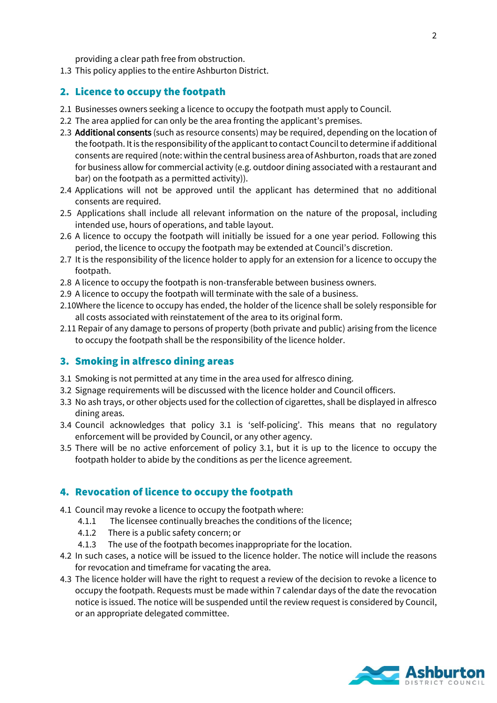providing a clear path free from obstruction.

1.3 This policy applies to the entire Ashburton District.

#### 2. Licence to occupy the footpath

- 2.1 Businesses owners seeking a licence to occupy the footpath must apply to Council.
- 2.2 The area applied for can only be the area fronting the applicant's premises.
- 2.3 Additional consents (such as resource consents) may be required, depending on the location of the footpath. It is the responsibility of the applicant to contact Council to determine if additional consents are required (note: within the central business area of Ashburton, roads that are zoned for business allow for commercial activity (e.g. outdoor dining associated with a restaurant and bar) on the footpath as a permitted activity)).
- 2.4 Applications will not be approved until the applicant has determined that no additional consents are required.
- 2.5 Applications shall include all relevant information on the nature of the proposal, including intended use, hours of operations, and table layout.
- 2.6 A licence to occupy the footpath will initially be issued for a one year period. Following this period, the licence to occupy the footpath may be extended at Council's discretion.
- 2.7 It is the responsibility of the licence holder to apply for an extension for a licence to occupy the footpath.
- 2.8 A licence to occupy the footpath is non-transferable between business owners.
- 2.9 A licence to occupy the footpath will terminate with the sale of a business.
- 2.10Where the licence to occupy has ended, the holder of the licence shall be solely responsible for all costs associated with reinstatement of the area to its original form.
- 2.11 Repair of any damage to persons of property (both private and public) arising from the licence to occupy the footpath shall be the responsibility of the licence holder.

#### 3. Smoking in alfresco dining areas

- 3.1 Smoking is not permitted at any time in the area used for alfresco dining.
- 3.2 Signage requirements will be discussed with the licence holder and Council officers.
- 3.3 No ash trays, or other objects used for the collection of cigarettes, shall be displayed in alfresco dining areas.
- 3.4 Council acknowledges that policy 3.1 is 'self-policing'. This means that no regulatory enforcement will be provided by Council, or any other agency.
- 3.5 There will be no active enforcement of policy 3.1, but it is up to the licence to occupy the footpath holder to abide by the conditions as per the licence agreement.

#### 4. Revocation of licence to occupy the footpath

- 4.1 Council may revoke a licence to occupy the footpath where:
	- 4.1.1 The licensee continually breaches the conditions of the licence;
	- 4.1.2 There is a public safety concern; or
	- 4.1.3 The use of the footpath becomes inappropriate for the location.
- 4.2 In such cases, a notice will be issued to the licence holder. The notice will include the reasons for revocation and timeframe for vacating the area.
- 4.3 The licence holder will have the right to request a review of the decision to revoke a licence to occupy the footpath. Requests must be made within 7 calendar days of the date the revocation notice is issued. The notice will be suspended until the review request is considered by Council, or an appropriate delegated committee.